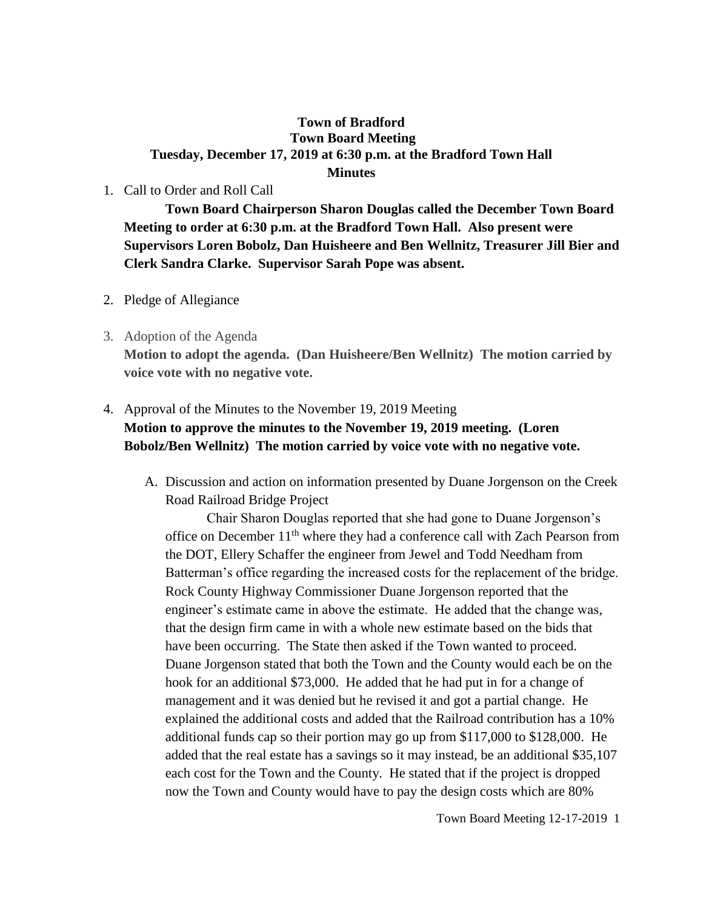## **Town of Bradford Town Board Meeting Tuesday, December 17, 2019 at 6:30 p.m. at the Bradford Town Hall Minutes**

## 1. Call to Order and Roll Call

**Town Board Chairperson Sharon Douglas called the December Town Board Meeting to order at 6:30 p.m. at the Bradford Town Hall. Also present were Supervisors Loren Bobolz, Dan Huisheere and Ben Wellnitz, Treasurer Jill Bier and Clerk Sandra Clarke. Supervisor Sarah Pope was absent.**

- 2. Pledge of Allegiance
- 3. Adoption of the Agenda **Motion to adopt the agenda. (Dan Huisheere/Ben Wellnitz) The motion carried by voice vote with no negative vote.**

## 4. Approval of the Minutes to the November 19, 2019 Meeting **Motion to approve the minutes to the November 19, 2019 meeting. (Loren Bobolz/Ben Wellnitz) The motion carried by voice vote with no negative vote.**

A. Discussion and action on information presented by Duane Jorgenson on the Creek Road Railroad Bridge Project

Chair Sharon Douglas reported that she had gone to Duane Jorgenson's office on December 11<sup>th</sup> where they had a conference call with Zach Pearson from the DOT, Ellery Schaffer the engineer from Jewel and Todd Needham from Batterman's office regarding the increased costs for the replacement of the bridge. Rock County Highway Commissioner Duane Jorgenson reported that the engineer's estimate came in above the estimate. He added that the change was, that the design firm came in with a whole new estimate based on the bids that have been occurring. The State then asked if the Town wanted to proceed. Duane Jorgenson stated that both the Town and the County would each be on the hook for an additional \$73,000. He added that he had put in for a change of management and it was denied but he revised it and got a partial change. He explained the additional costs and added that the Railroad contribution has a 10% additional funds cap so their portion may go up from \$117,000 to \$128,000. He added that the real estate has a savings so it may instead, be an additional \$35,107 each cost for the Town and the County. He stated that if the project is dropped now the Town and County would have to pay the design costs which are 80%

Town Board Meeting 12-17-2019 1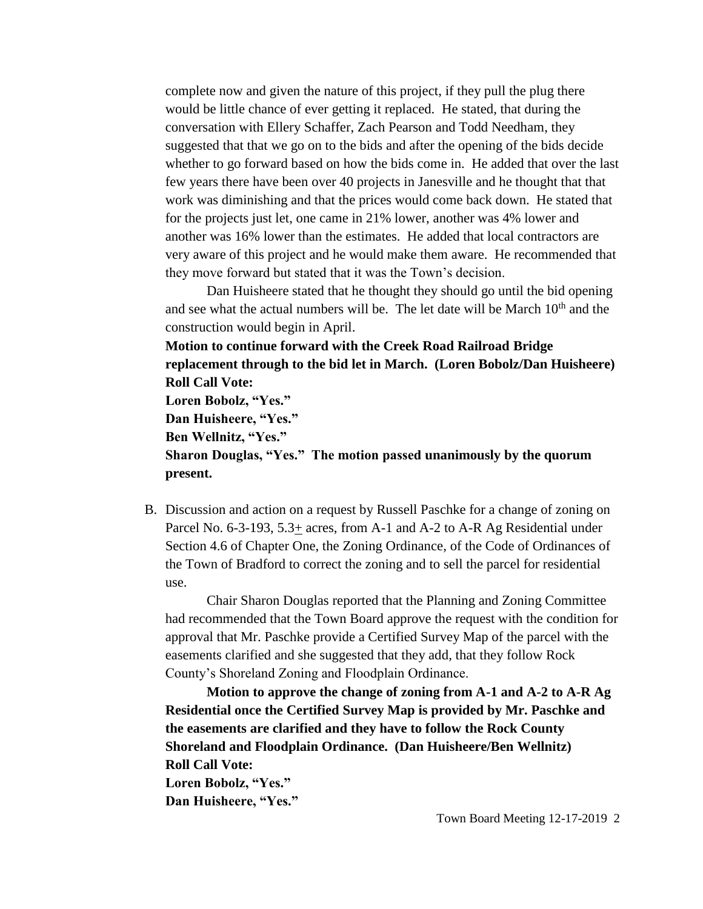complete now and given the nature of this project, if they pull the plug there would be little chance of ever getting it replaced. He stated, that during the conversation with Ellery Schaffer, Zach Pearson and Todd Needham, they suggested that that we go on to the bids and after the opening of the bids decide whether to go forward based on how the bids come in. He added that over the last few years there have been over 40 projects in Janesville and he thought that that work was diminishing and that the prices would come back down. He stated that for the projects just let, one came in 21% lower, another was 4% lower and another was 16% lower than the estimates. He added that local contractors are very aware of this project and he would make them aware. He recommended that they move forward but stated that it was the Town's decision.

Dan Huisheere stated that he thought they should go until the bid opening and see what the actual numbers will be. The let date will be March  $10<sup>th</sup>$  and the construction would begin in April.

**Motion to continue forward with the Creek Road Railroad Bridge replacement through to the bid let in March. (Loren Bobolz/Dan Huisheere) Roll Call Vote: Loren Bobolz, "Yes." Dan Huisheere, "Yes."**

**Ben Wellnitz, "Yes."**

**Sharon Douglas, "Yes." The motion passed unanimously by the quorum present.**

B. Discussion and action on a request by Russell Paschke for a change of zoning on Parcel No. 6-3-193, 5.3+ acres, from A-1 and A-2 to A-R Ag Residential under Section 4.6 of Chapter One, the Zoning Ordinance, of the Code of Ordinances of the Town of Bradford to correct the zoning and to sell the parcel for residential use.

Chair Sharon Douglas reported that the Planning and Zoning Committee had recommended that the Town Board approve the request with the condition for approval that Mr. Paschke provide a Certified Survey Map of the parcel with the easements clarified and she suggested that they add, that they follow Rock County's Shoreland Zoning and Floodplain Ordinance.

**Motion to approve the change of zoning from A-1 and A-2 to A-R Ag Residential once the Certified Survey Map is provided by Mr. Paschke and the easements are clarified and they have to follow the Rock County Shoreland and Floodplain Ordinance. (Dan Huisheere/Ben Wellnitz) Roll Call Vote: Loren Bobolz, "Yes." Dan Huisheere, "Yes."**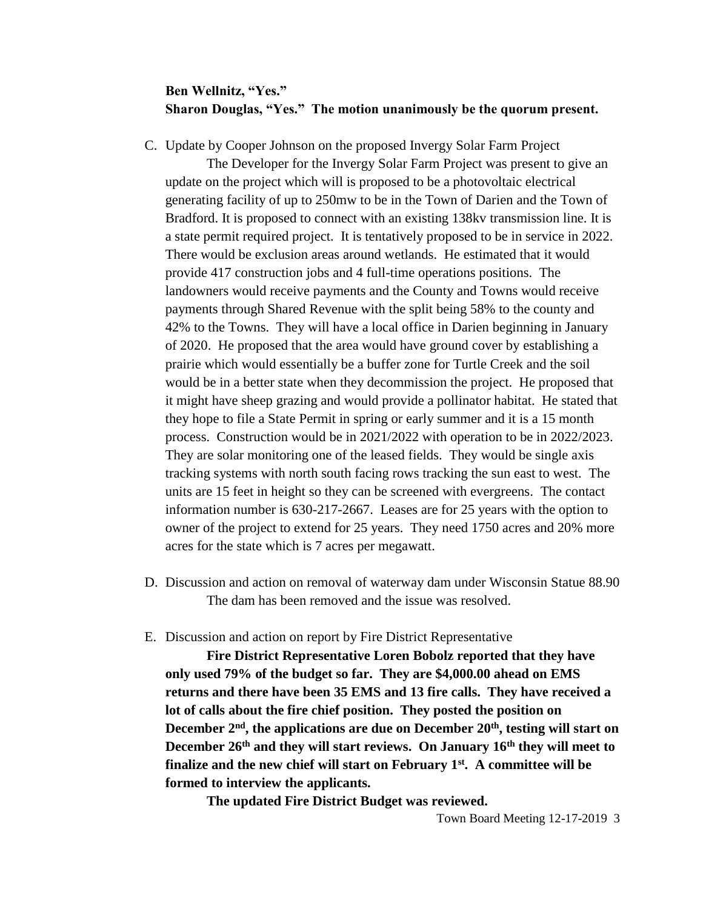## **Ben Wellnitz, "Yes." Sharon Douglas, "Yes." The motion unanimously be the quorum present.**

C. Update by Cooper Johnson on the proposed Invergy Solar Farm Project

The Developer for the Invergy Solar Farm Project was present to give an update on the project which will is proposed to be a photovoltaic electrical generating facility of up to 250mw to be in the Town of Darien and the Town of Bradford. It is proposed to connect with an existing 138kv transmission line. It is a state permit required project. It is tentatively proposed to be in service in 2022. There would be exclusion areas around wetlands. He estimated that it would provide 417 construction jobs and 4 full-time operations positions. The landowners would receive payments and the County and Towns would receive payments through Shared Revenue with the split being 58% to the county and 42% to the Towns. They will have a local office in Darien beginning in January of 2020. He proposed that the area would have ground cover by establishing a prairie which would essentially be a buffer zone for Turtle Creek and the soil would be in a better state when they decommission the project. He proposed that it might have sheep grazing and would provide a pollinator habitat. He stated that they hope to file a State Permit in spring or early summer and it is a 15 month process. Construction would be in 2021/2022 with operation to be in 2022/2023. They are solar monitoring one of the leased fields. They would be single axis tracking systems with north south facing rows tracking the sun east to west. The units are 15 feet in height so they can be screened with evergreens. The contact information number is 630-217-2667. Leases are for 25 years with the option to owner of the project to extend for 25 years. They need 1750 acres and 20% more acres for the state which is 7 acres per megawatt.

- D. Discussion and action on removal of waterway dam under Wisconsin Statue 88.90 The dam has been removed and the issue was resolved.
- E. Discussion and action on report by Fire District Representative

**Fire District Representative Loren Bobolz reported that they have only used 79% of the budget so far. They are \$4,000.00 ahead on EMS returns and there have been 35 EMS and 13 fire calls. They have received a lot of calls about the fire chief position. They posted the position on December 2nd, the applications are due on December 20th , testing will start on December 26th and they will start reviews. On January 16th they will meet to finalize and the new chief will start on February 1st. A committee will be formed to interview the applicants.** 

**The updated Fire District Budget was reviewed.**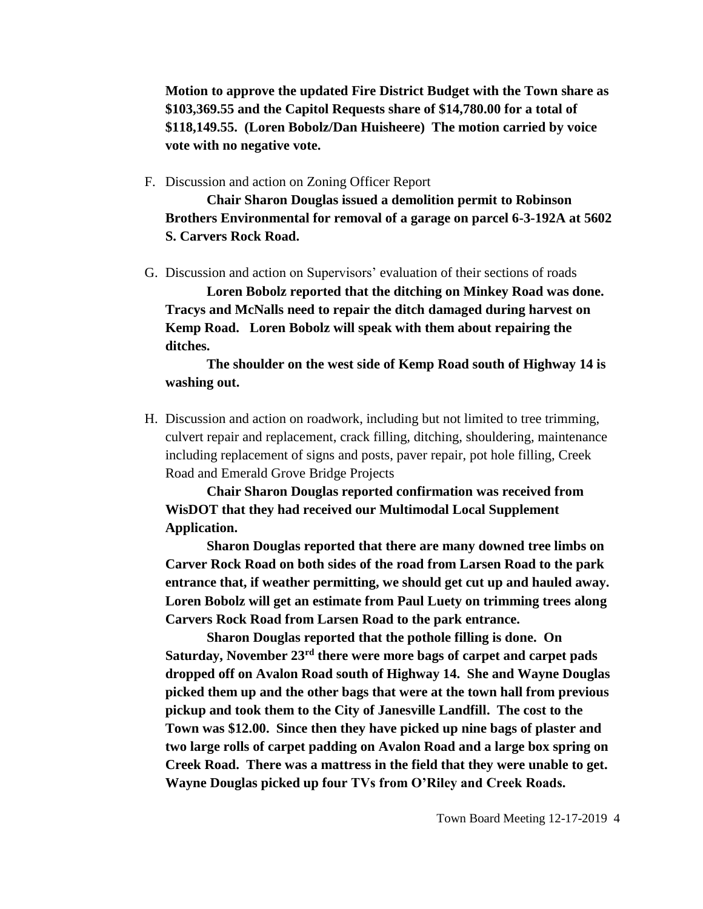**Motion to approve the updated Fire District Budget with the Town share as \$103,369.55 and the Capitol Requests share of \$14,780.00 for a total of \$118,149.55. (Loren Bobolz/Dan Huisheere) The motion carried by voice vote with no negative vote.**

F. Discussion and action on Zoning Officer Report

**Chair Sharon Douglas issued a demolition permit to Robinson Brothers Environmental for removal of a garage on parcel 6-3-192A at 5602 S. Carvers Rock Road.**

G. Discussion and action on Supervisors' evaluation of their sections of roads

**Loren Bobolz reported that the ditching on Minkey Road was done. Tracys and McNalls need to repair the ditch damaged during harvest on Kemp Road. Loren Bobolz will speak with them about repairing the ditches.**

**The shoulder on the west side of Kemp Road south of Highway 14 is washing out.** 

H. Discussion and action on roadwork, including but not limited to tree trimming, culvert repair and replacement, crack filling, ditching, shouldering, maintenance including replacement of signs and posts, paver repair, pot hole filling, Creek Road and Emerald Grove Bridge Projects

**Chair Sharon Douglas reported confirmation was received from WisDOT that they had received our Multimodal Local Supplement Application.**

**Sharon Douglas reported that there are many downed tree limbs on Carver Rock Road on both sides of the road from Larsen Road to the park entrance that, if weather permitting, we should get cut up and hauled away. Loren Bobolz will get an estimate from Paul Luety on trimming trees along Carvers Rock Road from Larsen Road to the park entrance.**

**Sharon Douglas reported that the pothole filling is done. On Saturday, November 23rd there were more bags of carpet and carpet pads dropped off on Avalon Road south of Highway 14. She and Wayne Douglas picked them up and the other bags that were at the town hall from previous pickup and took them to the City of Janesville Landfill. The cost to the Town was \$12.00. Since then they have picked up nine bags of plaster and two large rolls of carpet padding on Avalon Road and a large box spring on Creek Road. There was a mattress in the field that they were unable to get. Wayne Douglas picked up four TVs from O'Riley and Creek Roads.**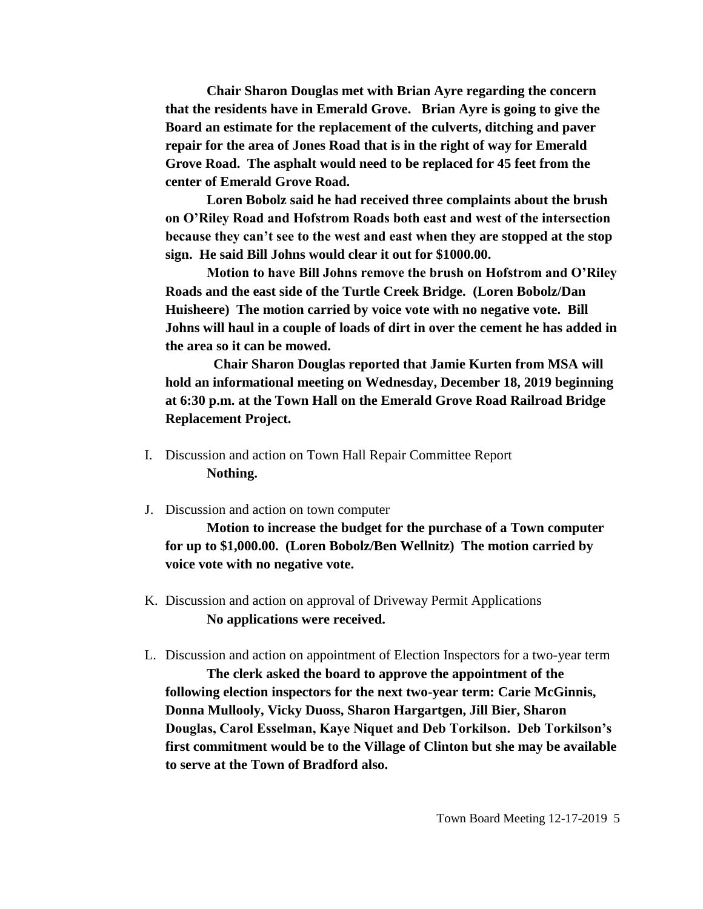**Chair Sharon Douglas met with Brian Ayre regarding the concern that the residents have in Emerald Grove. Brian Ayre is going to give the Board an estimate for the replacement of the culverts, ditching and paver repair for the area of Jones Road that is in the right of way for Emerald Grove Road. The asphalt would need to be replaced for 45 feet from the center of Emerald Grove Road.** 

**Loren Bobolz said he had received three complaints about the brush on O'Riley Road and Hofstrom Roads both east and west of the intersection because they can't see to the west and east when they are stopped at the stop sign. He said Bill Johns would clear it out for \$1000.00.**

**Motion to have Bill Johns remove the brush on Hofstrom and O'Riley Roads and the east side of the Turtle Creek Bridge. (Loren Bobolz/Dan Huisheere) The motion carried by voice vote with no negative vote. Bill Johns will haul in a couple of loads of dirt in over the cement he has added in the area so it can be mowed.**

 **Chair Sharon Douglas reported that Jamie Kurten from MSA will hold an informational meeting on Wednesday, December 18, 2019 beginning at 6:30 p.m. at the Town Hall on the Emerald Grove Road Railroad Bridge Replacement Project.** 

- I. Discussion and action on Town Hall Repair Committee Report **Nothing.**
- J. Discussion and action on town computer

**Motion to increase the budget for the purchase of a Town computer for up to \$1,000.00. (Loren Bobolz/Ben Wellnitz) The motion carried by voice vote with no negative vote.**

- K. Discussion and action on approval of Driveway Permit Applications **No applications were received.**
- L. Discussion and action on appointment of Election Inspectors for a two-year term

**The clerk asked the board to approve the appointment of the following election inspectors for the next two-year term: Carie McGinnis, Donna Mullooly, Vicky Duoss, Sharon Hargartgen, Jill Bier, Sharon Douglas, Carol Esselman, Kaye Niquet and Deb Torkilson. Deb Torkilson's first commitment would be to the Village of Clinton but she may be available to serve at the Town of Bradford also.**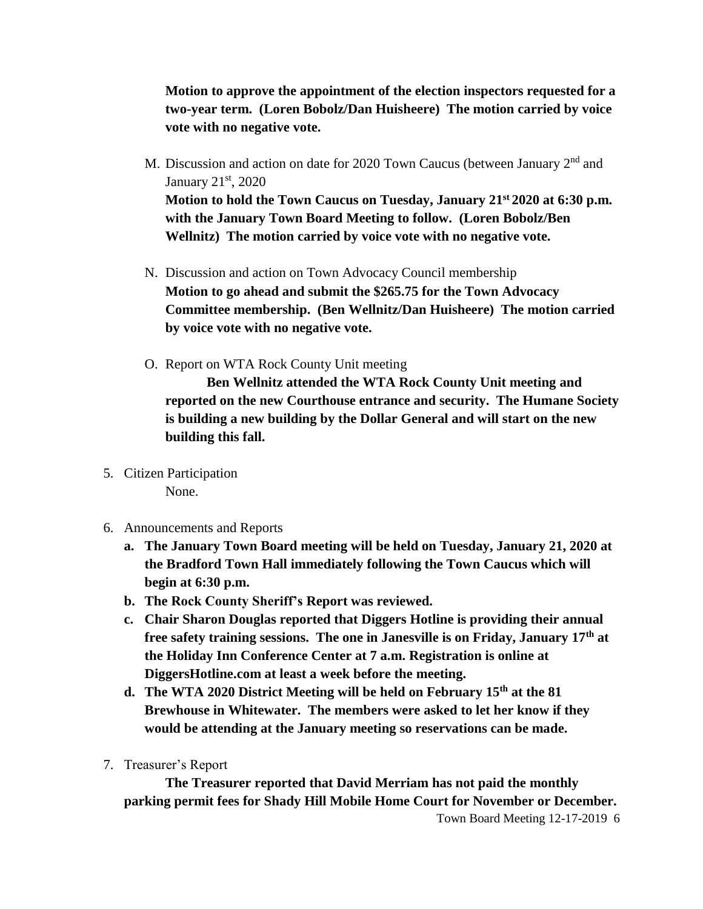**Motion to approve the appointment of the election inspectors requested for a two-year term. (Loren Bobolz/Dan Huisheere) The motion carried by voice vote with no negative vote.**

- M. Discussion and action on date for 2020 Town Caucus (between January 2<sup>nd</sup> and January 21<sup>st</sup>, 2020 **Motion to hold the Town Caucus on Tuesday, January 21st 2020 at 6:30 p.m. with the January Town Board Meeting to follow. (Loren Bobolz/Ben Wellnitz) The motion carried by voice vote with no negative vote.**
- N. Discussion and action on Town Advocacy Council membership **Motion to go ahead and submit the \$265.75 for the Town Advocacy Committee membership. (Ben Wellnitz/Dan Huisheere) The motion carried by voice vote with no negative vote.**
- O. Report on WTA Rock County Unit meeting

**Ben Wellnitz attended the WTA Rock County Unit meeting and reported on the new Courthouse entrance and security. The Humane Society is building a new building by the Dollar General and will start on the new building this fall.** 

- 5. Citizen Participation None.
- 6. Announcements and Reports
	- **a. The January Town Board meeting will be held on Tuesday, January 21, 2020 at the Bradford Town Hall immediately following the Town Caucus which will begin at 6:30 p.m.**
	- **b. The Rock County Sheriff's Report was reviewed.**
	- **c. Chair Sharon Douglas reported that Diggers Hotline is providing their annual free safety training sessions. The one in Janesville is on Friday, January 17th at the Holiday Inn Conference Center at 7 a.m. Registration is online at DiggersHotline.com at least a week before the meeting.**
	- **d. The WTA 2020 District Meeting will be held on February 15th at the 81 Brewhouse in Whitewater. The members were asked to let her know if they would be attending at the January meeting so reservations can be made.**
- 7. Treasurer's Report

**The Treasurer reported that David Merriam has not paid the monthly parking permit fees for Shady Hill Mobile Home Court for November or December.**